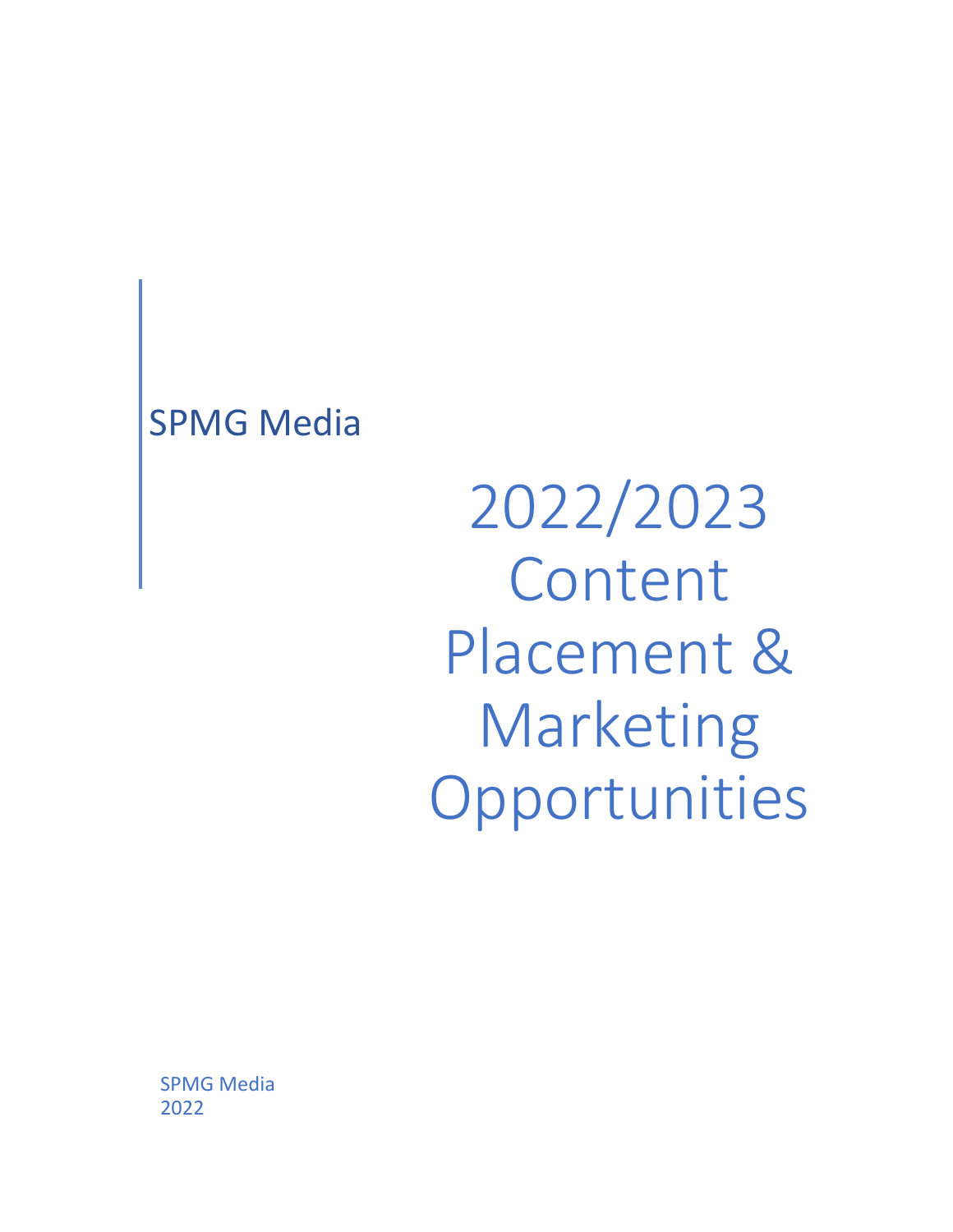## SPMG Media

2022/2023 Content Placement & Marketing Opportunities

SPMG Media 2022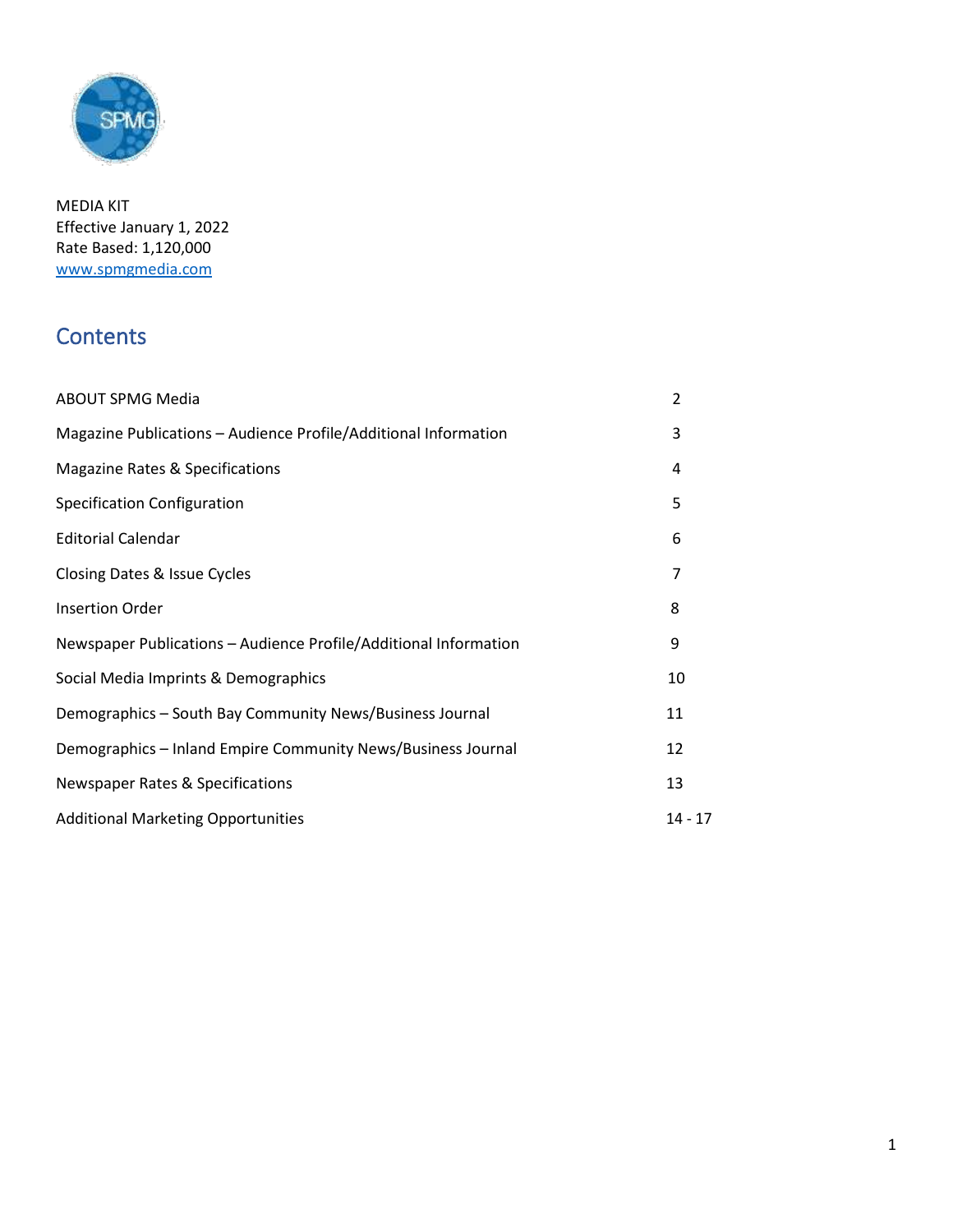

MEDIA KIT Effective January 1, 2022 Rate Based: 1,120,000 [www.spmgmedia.com](http://www.spmgmedia.com/)

## **Contents**

| <b>ABOUT SPMG Media</b>                                          | 2              |
|------------------------------------------------------------------|----------------|
| Magazine Publications - Audience Profile/Additional Information  | 3              |
| Magazine Rates & Specifications                                  | 4              |
| Specification Configuration                                      | 5              |
| <b>Editorial Calendar</b>                                        | 6              |
| Closing Dates & Issue Cycles                                     | $\overline{7}$ |
| <b>Insertion Order</b>                                           | 8              |
| Newspaper Publications - Audience Profile/Additional Information | 9              |
| Social Media Imprints & Demographics                             | 10             |
| Demographics - South Bay Community News/Business Journal         | 11             |
| Demographics - Inland Empire Community News/Business Journal     | 12             |
| <b>Newspaper Rates &amp; Specifications</b>                      | 13             |
| <b>Additional Marketing Opportunities</b>                        | $14 - 17$      |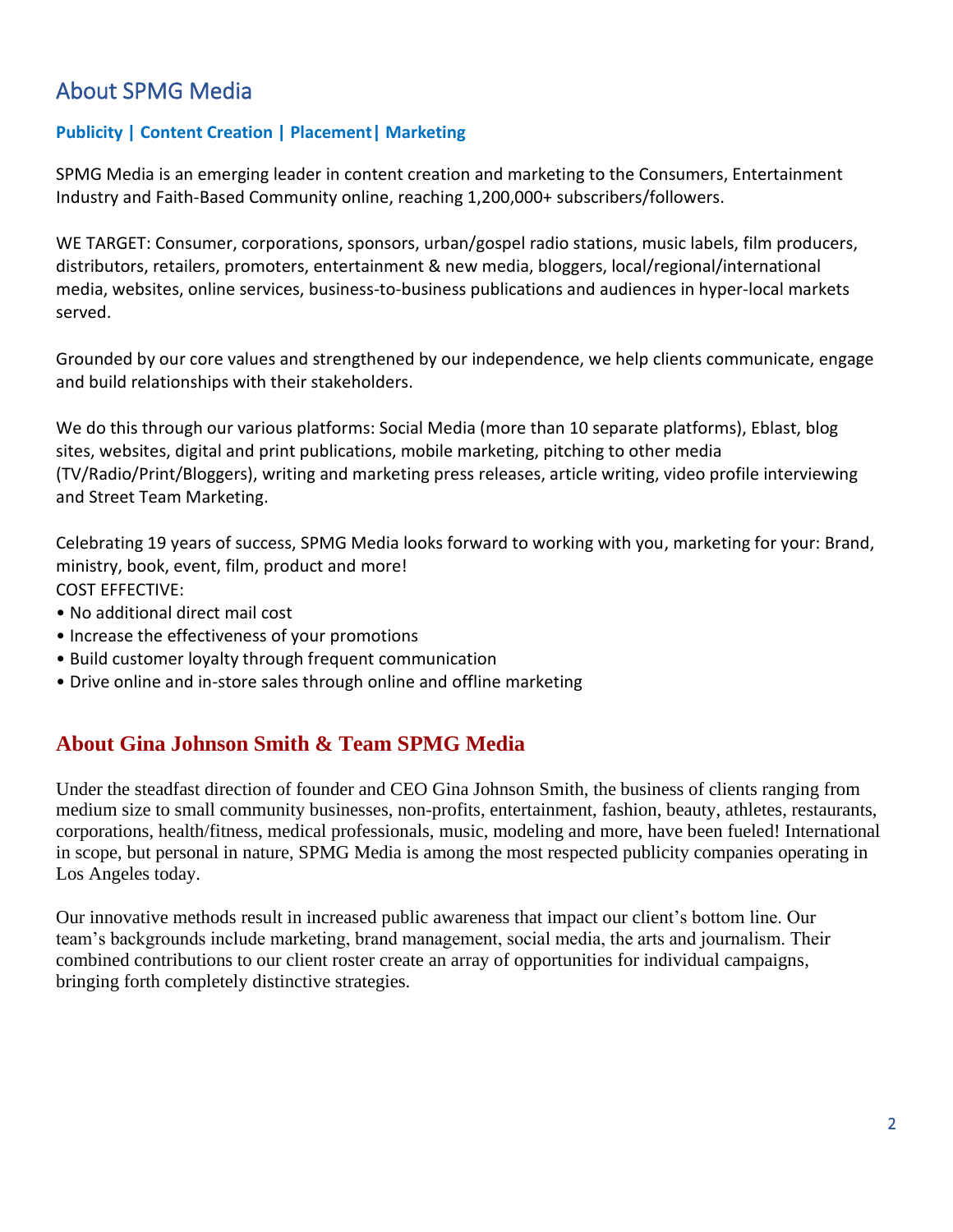## About SPMG Media

### **Publicity | Content Creation | Placement| Marketing**

SPMG Media is an emerging leader in content creation and marketing to the Consumers, Entertainment Industry and Faith-Based Community online, reaching 1,200,000+ subscribers/followers.

WE TARGET: Consumer, corporations, sponsors, urban/gospel radio stations, music labels, film producers, distributors, retailers, promoters, entertainment & new media, bloggers, local/regional/international media, websites, online services, business-to-business publications and audiences in hyper-local markets served.

Grounded by our core values and strengthened by our independence, we help clients communicate, engage and build relationships with their stakeholders.

We do this through our various platforms: Social Media (more than 10 separate platforms), Eblast, blog sites, websites, digital and print publications, mobile marketing, pitching to other media (TV/Radio/Print/Bloggers), writing and marketing press releases, article writing, video profile interviewing and Street Team Marketing.

Celebrating 19 years of success, SPMG Media looks forward to working with you, marketing for your: Brand, ministry, book, event, film, product and more! COST EFFECTIVE:

- No additional direct mail cost
- Increase the effectiveness of your promotions
- Build customer loyalty through frequent communication
- Drive online and in-store sales through online and offline marketing

### **About Gina Johnson Smith & Team SPMG Media**

Under the steadfast direction of founder and CEO Gina Johnson Smith, the business of clients ranging from medium size to small community businesses, non-profits, entertainment, fashion, beauty, athletes, restaurants, corporations, health/fitness, medical professionals, music, modeling and more, have been fueled! International in scope, but personal in nature, SPMG Media is among the most respected publicity companies operating in Los Angeles today.

Our innovative methods result in increased public awareness that impact our client's bottom line. Our team's backgrounds include marketing, brand management, social media, the arts and journalism. Their combined contributions to our client roster create an array of opportunities for individual campaigns, bringing forth completely distinctive strategies.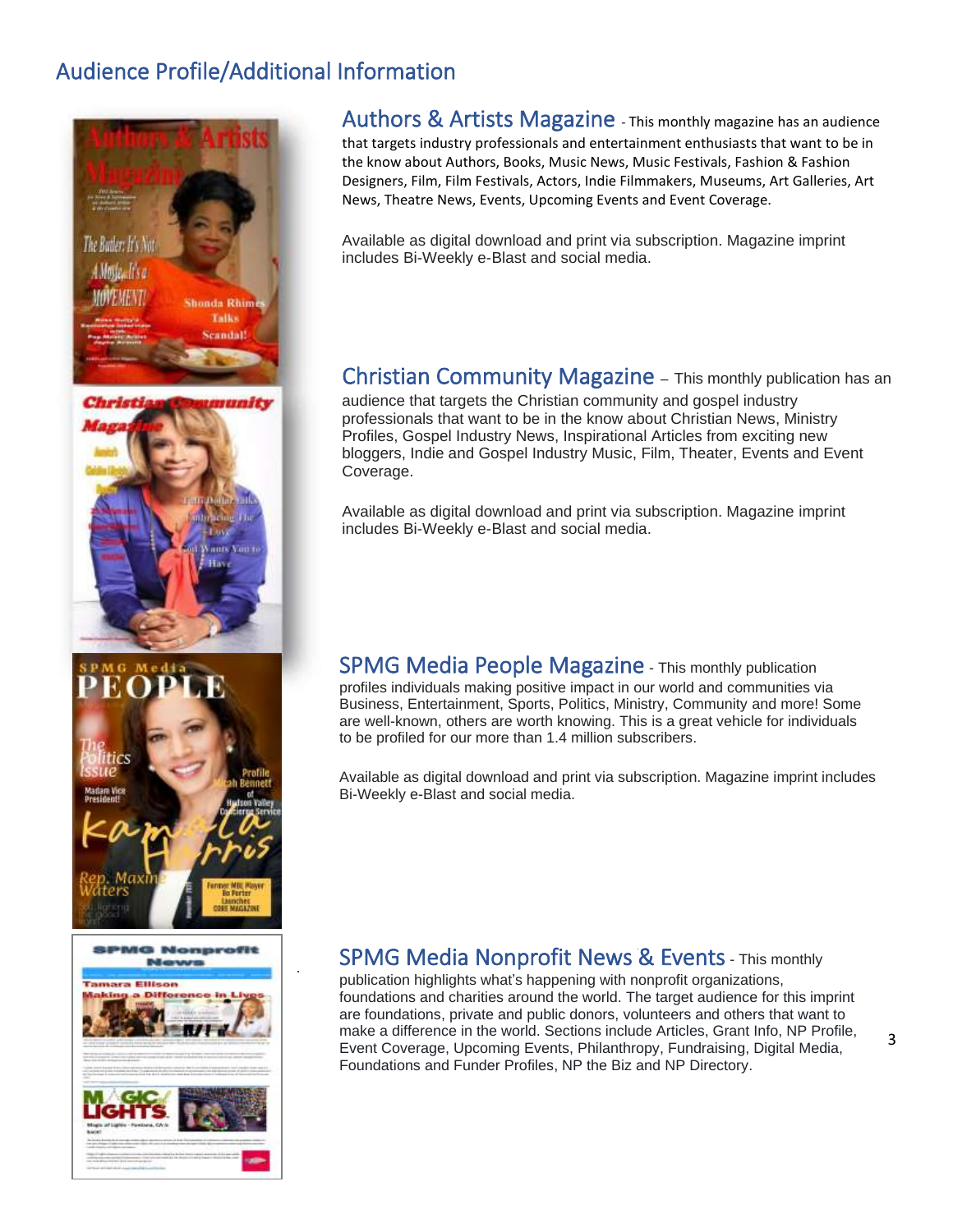## Audience Profile/Additional Information







.

Authors & Artists Magazine - This monthly magazine has an audience that targets industry professionals and entertainment enthusiasts that want to be in the know about Authors, Books, Music News, Music Festivals, Fashion & Fashion Designers, Film, Film Festivals, Actors, Indie Filmmakers, Museums, Art Galleries, Art News, Theatre News, Events, Upcoming Events and Event Coverage.

Available as digital download and print via subscription. Magazine imprint includes Bi-Weekly e-Blast and social media.

### Christian Community Magazine – This monthly publication has an

audience that targets the Christian community and gospel industry professionals that want to be in the know about Christian News, Ministry Profiles, Gospel Industry News, Inspirational Articles from exciting new bloggers, Indie and Gospel Industry Music, Film, Theater, Events and Event Coverage.

Available as digital download and print via subscription. Magazine imprint includes Bi-Weekly e-Blast and social media.

#### SPMG Media People Magazine - This monthly publication profiles individuals making positive impact in our world and communities via Business, Entertainment, Sports, Politics, Ministry, Community and more! Some are well-known, others are worth knowing. This is a great vehicle for individuals to be profiled for our more than 1.4 million subscribers.

Available as digital download and print via subscription. Magazine imprint includes Bi-Weekly e-Blast and social media.

### SPMG Media Nonprofit News & Events- This monthly

publication highlights what's happening with nonprofit organizations, foundations and charities around the world. The target audience for this imprint are foundations, private and public donors, volunteers and others that want to make a difference in the world. Sections include Articles, Grant Info, NP Profile, Event Coverage, Upcoming Events, Philanthropy, Fundraising, Digital Media, Foundations and Funder Profiles, NP the Biz and NP Directory.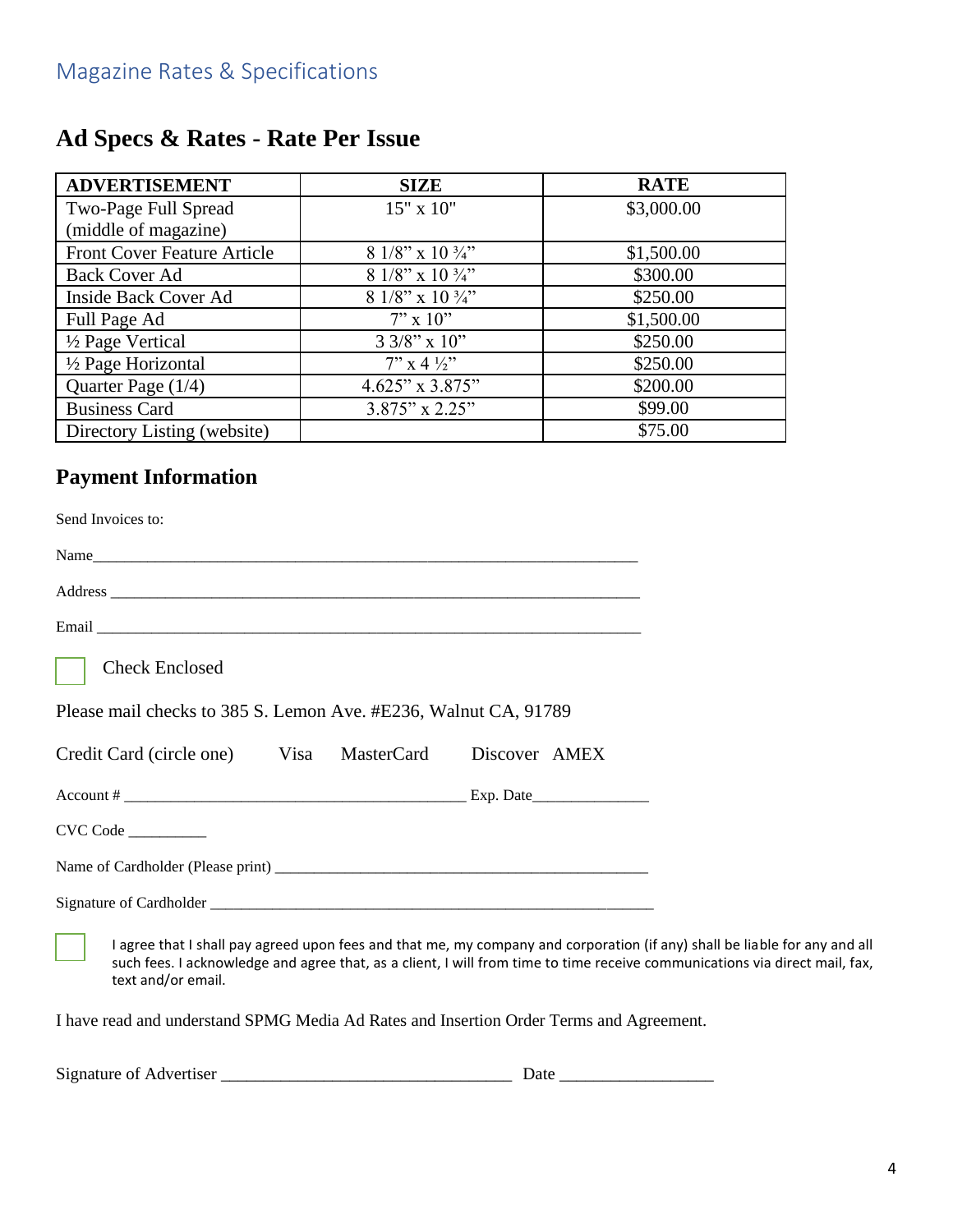## **Ad Specs & Rates - Rate Per Issue**

| <b>ADVERTISEMENT</b>               | <b>SIZE</b>                 | <b>RATE</b> |
|------------------------------------|-----------------------------|-------------|
| Two-Page Full Spread               | 15" x 10"                   | \$3,000.00  |
| (middle of magazine)               |                             |             |
| <b>Front Cover Feature Article</b> | 8 1/8" x 10 $\frac{3}{4}$ " | \$1,500.00  |
| <b>Back Cover Ad</b>               | 8 1/8" x 10 $\frac{3}{4}$ " | \$300.00    |
| Inside Back Cover Ad               | 8 1/8" x 10 $\frac{3}{4}$ " | \$250.00    |
| Full Page Ad                       | $7'' \times 10''$           | \$1,500.00  |
| 1/2 Page Vertical                  | $3.3/8$ " x 10"             | \$250.00    |
| 1/2 Page Horizontal                | $7''$ x 4 $\frac{1}{2}$     | \$250.00    |
| Quarter Page (1/4)                 | $4.625"$ x 3.875"           | \$200.00    |
| <b>Business Card</b>               | $3.875"$ x 2.25"            | \$99.00     |
| Directory Listing (website)        |                             | \$75.00     |

## **Payment Information**

| Send Invoices to:                                                                                                                                                                                                                                                               |  |
|---------------------------------------------------------------------------------------------------------------------------------------------------------------------------------------------------------------------------------------------------------------------------------|--|
|                                                                                                                                                                                                                                                                                 |  |
|                                                                                                                                                                                                                                                                                 |  |
|                                                                                                                                                                                                                                                                                 |  |
| <b>Check Enclosed</b>                                                                                                                                                                                                                                                           |  |
| Please mail checks to 385 S. Lemon Ave. #E236, Walnut CA, 91789                                                                                                                                                                                                                 |  |
| Credit Card (circle one) Visa<br>MasterCard<br>Discover AMEX                                                                                                                                                                                                                    |  |
|                                                                                                                                                                                                                                                                                 |  |
| CVC Code                                                                                                                                                                                                                                                                        |  |
|                                                                                                                                                                                                                                                                                 |  |
|                                                                                                                                                                                                                                                                                 |  |
| I agree that I shall pay agreed upon fees and that me, my company and corporation (if any) shall be liable for any and all<br>such fees. I acknowledge and agree that, as a client, I will from time to time receive communications via direct mail, fax,<br>text and/or email. |  |
| I have read and understand SPMG Media Ad Rates and Insertion Order Terms and Agreement.                                                                                                                                                                                         |  |

| Signature of Advertiser | Jate |
|-------------------------|------|
|-------------------------|------|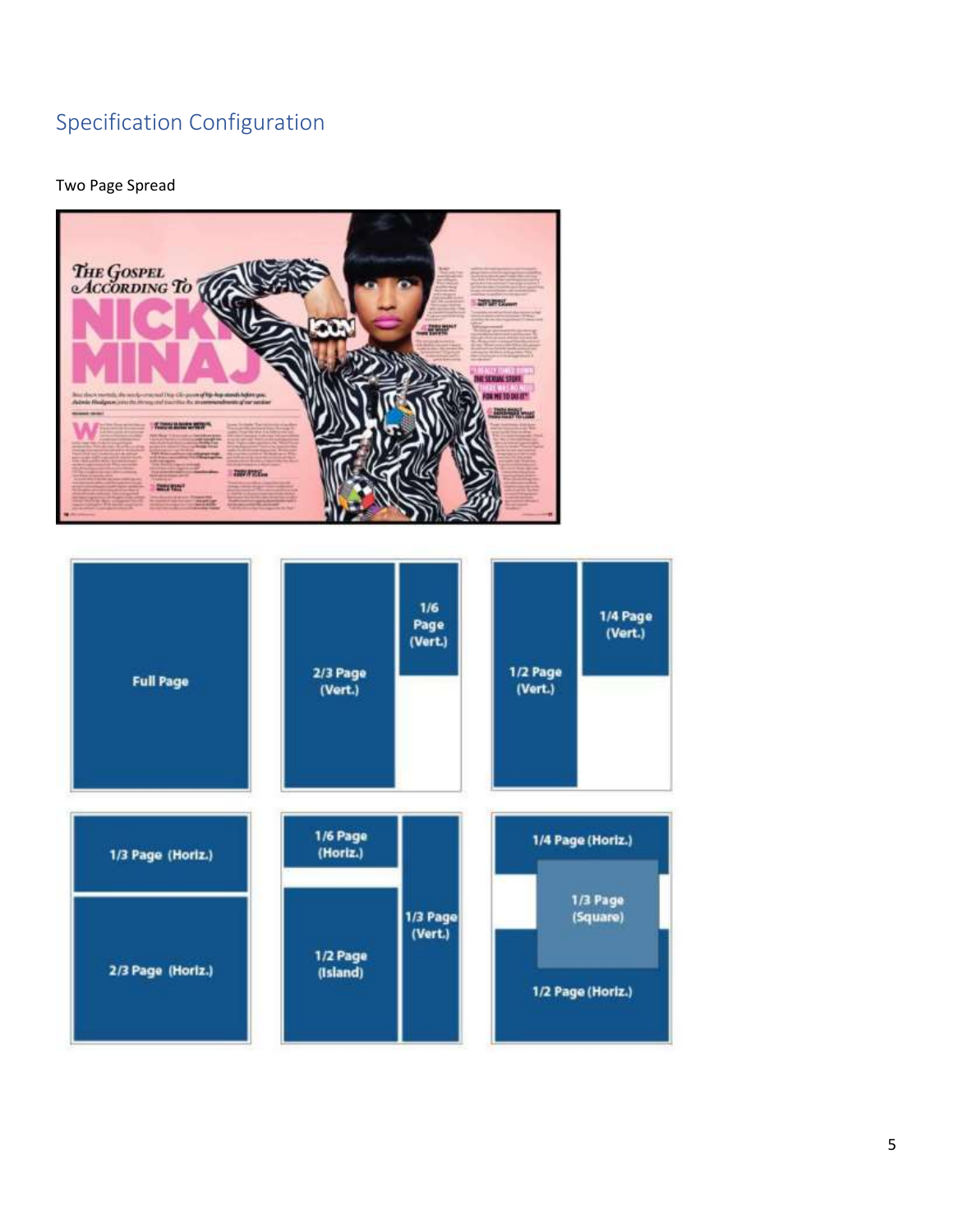## Specification Configuration

#### Two Page Spread



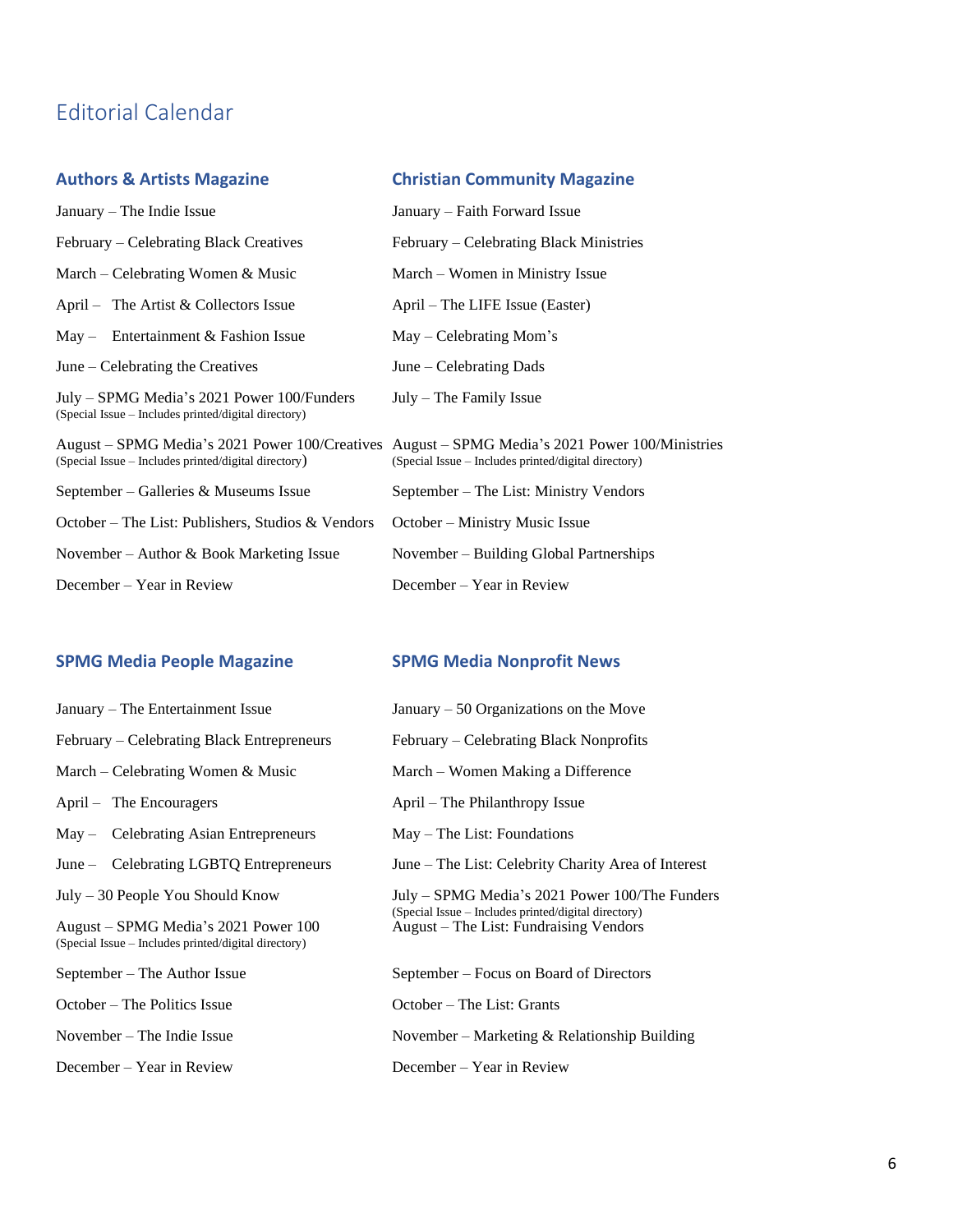## Editorial Calendar

### **Authors & Artists Magazine Christian Community Magazine**

| January – The Indie Issue                                                                          | January – Faith Forward Issue                                                                                                                          |
|----------------------------------------------------------------------------------------------------|--------------------------------------------------------------------------------------------------------------------------------------------------------|
| February – Celebrating Black Creatives                                                             | February – Celebrating Black Ministries                                                                                                                |
| March – Celebrating Women $\&$ Music                                                               | March – Women in Ministry Issue                                                                                                                        |
| April – The Artist $&$ Collectors Issue                                                            | April – The LIFE Issue (Easter)                                                                                                                        |
| Entertainment & Fashion Issue<br>$Mav -$                                                           | $May - Celebrating Mom's$                                                                                                                              |
| June – Celebrating the Creatives                                                                   | June $-$ Celebrating Dads                                                                                                                              |
| July – SPMG Media's 2021 Power 100/Funders<br>(Special Issue - Includes printed/digital directory) | $July - The Family Issue$                                                                                                                              |
| (Special Issue – Includes printed/digital directory)                                               | August – SPMG Media's 2021 Power 100/Creatives August – SPMG Media's 2021 Power 100/Ministries<br>(Special Issue – Includes printed/digital directory) |
| September – Galleries & Museums Issue                                                              | September – The List: Ministry Vendors                                                                                                                 |
| October – The List: Publishers, Studios & Vendors                                                  | October – Ministry Music Issue                                                                                                                         |
| November – Author & Book Marketing Issue                                                           | November – Building Global Partnerships                                                                                                                |
| December – Year in Review                                                                          | December – Year in Review                                                                                                                              |

### **SPMG Media People Magazine SPMG Media Nonprofit News**

| January – The Entertainment Issue                                                            | January $-50$ Organizations on the Move                                                        |
|----------------------------------------------------------------------------------------------|------------------------------------------------------------------------------------------------|
| February – Celebrating Black Entrepreneurs                                                   | February – Celebrating Black Nonprofits                                                        |
| March – Celebrating Women $\&$ Music                                                         | March – Women Making a Difference                                                              |
| April – The Encouragers                                                                      | April – The Philanthropy Issue                                                                 |
| May – Celebrating Asian Entrepreneurs                                                        | $May - The List: Foundations$                                                                  |
| June – Celebrating LGBTQ Entrepreneurs                                                       | June – The List: Celebrity Charity Area of Interest                                            |
| $July - 30 People You Should Know$                                                           | July – SPMG Media's 2021 Power 100/The Funders                                                 |
| August – SPMG Media's 2021 Power 100<br>(Special Issue – Includes printed/digital directory) | (Special Issue – Includes printed/digital directory)<br>August – The List: Fundraising Vendors |
| September – The Author Issue                                                                 | September – Focus on Board of Directors                                                        |
| October – The Politics Issue                                                                 | October – The List: Grants                                                                     |
| November $-$ The Indie Issue                                                                 | November – Marketing & Relationship Building                                                   |
| December – Year in Review                                                                    | December – Year in Review                                                                      |
|                                                                                              |                                                                                                |

| February – Celebrating Black Nonprofits                                                                                                         |
|-------------------------------------------------------------------------------------------------------------------------------------------------|
| March – Women Making a Difference                                                                                                               |
| April – The Philanthropy Issue                                                                                                                  |
| $May - The List: Foundations$                                                                                                                   |
| June – The List: Celebrity Charity Area of Interest                                                                                             |
| July – SPMG Media's 2021 Power 100/The Funder<br>(Special Issue – Includes printed/digital directory)<br>August – The List: Fundraising Vendors |
| September – Focus on Board of Directors                                                                                                         |
| October – The List: Grants                                                                                                                      |
| November – Marketing & Relationship Building                                                                                                    |
| December – Year in Review                                                                                                                       |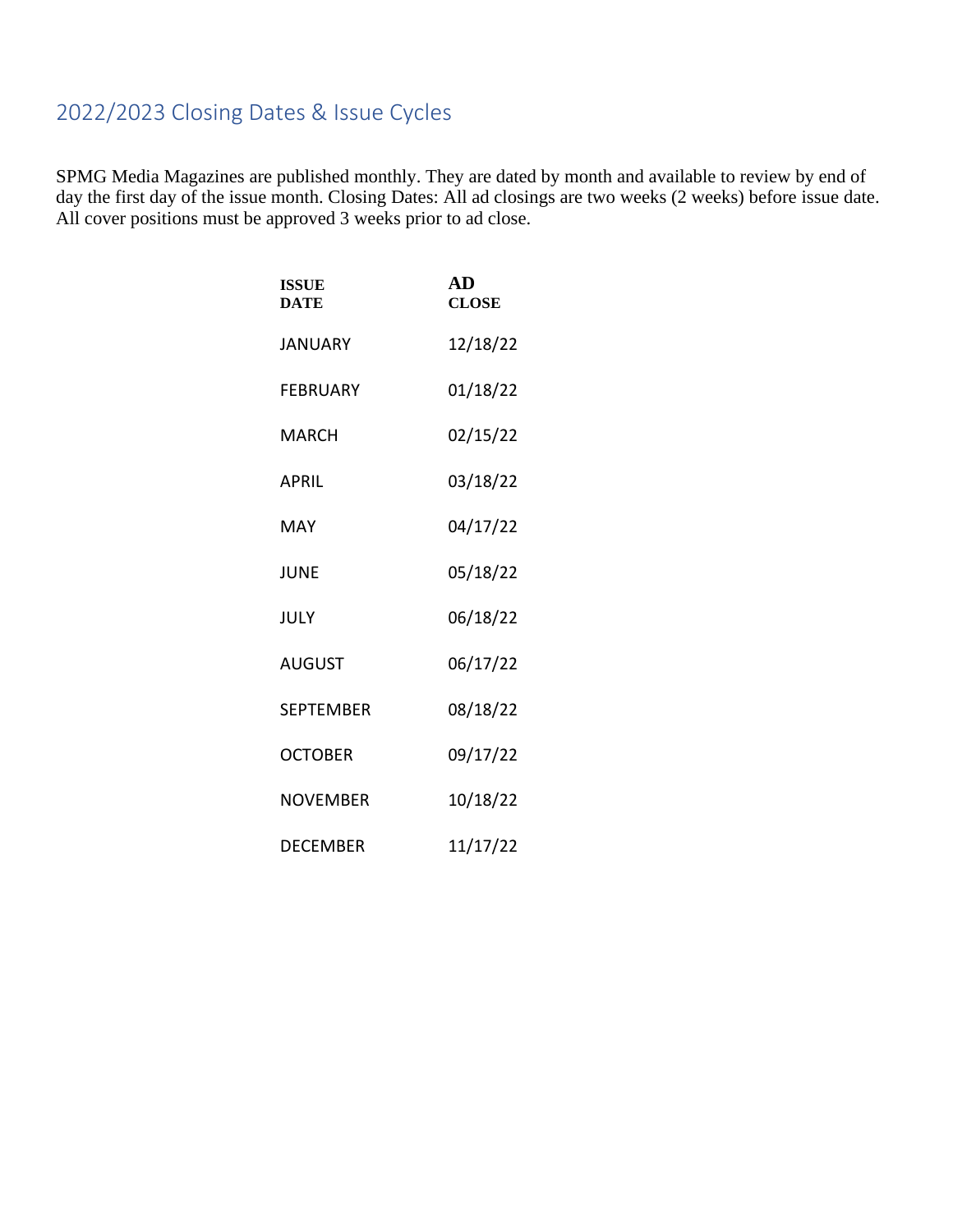## 2022/2023 Closing Dates & Issue Cycles

SPMG Media Magazines are published monthly. They are dated by month and available to review by end of day the first day of the issue month. Closing Dates: All ad closings are two weeks (2 weeks) before issue date. All cover positions must be approved 3 weeks prior to ad close.

| <b>ISSUE</b><br><b>DATE</b> | AD<br><b>CLOSE</b> |
|-----------------------------|--------------------|
| <b>JANUARY</b>              | 12/18/22           |
| <b>FEBRUARY</b>             | 01/18/22           |
| MARCH                       | 02/15/22           |
| <b>APRIL</b>                | 03/18/22           |
| MAY                         | 04/17/22           |
| JUNE                        | 05/18/22           |
| JULY                        | 06/18/22           |
| <b>AUGUST</b>               | 06/17/22           |
| <b>SEPTEMBER</b>            | 08/18/22           |
| <b>OCTOBER</b>              | 09/17/22           |
| <b>NOVEMBER</b>             | 10/18/22           |
| DECEMBER                    | 11/17/22           |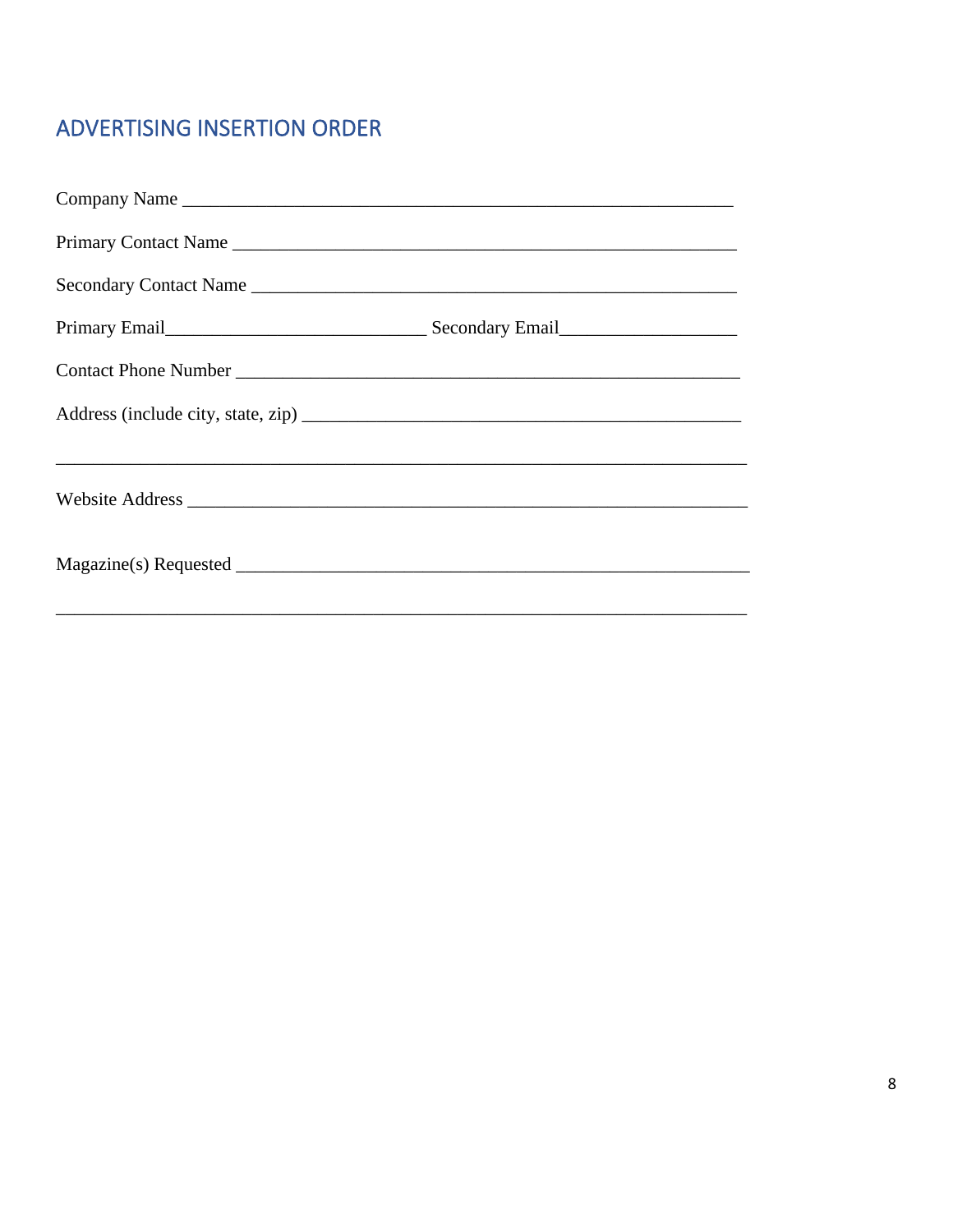## ADVERTISING INSERTION ORDER

| Company Name                                                                                                                                                                                                                   |  |
|--------------------------------------------------------------------------------------------------------------------------------------------------------------------------------------------------------------------------------|--|
| Primary Contact Name                                                                                                                                                                                                           |  |
|                                                                                                                                                                                                                                |  |
| Primary Email Primary Email Primary Email Primary Email Primary Email Primary Email Primary Email Primary Email Primary Email Primary Email Primary Email Primary Email Primary Email Primary Email Primary Email Primary Emai |  |
|                                                                                                                                                                                                                                |  |
|                                                                                                                                                                                                                                |  |
|                                                                                                                                                                                                                                |  |
|                                                                                                                                                                                                                                |  |
|                                                                                                                                                                                                                                |  |
|                                                                                                                                                                                                                                |  |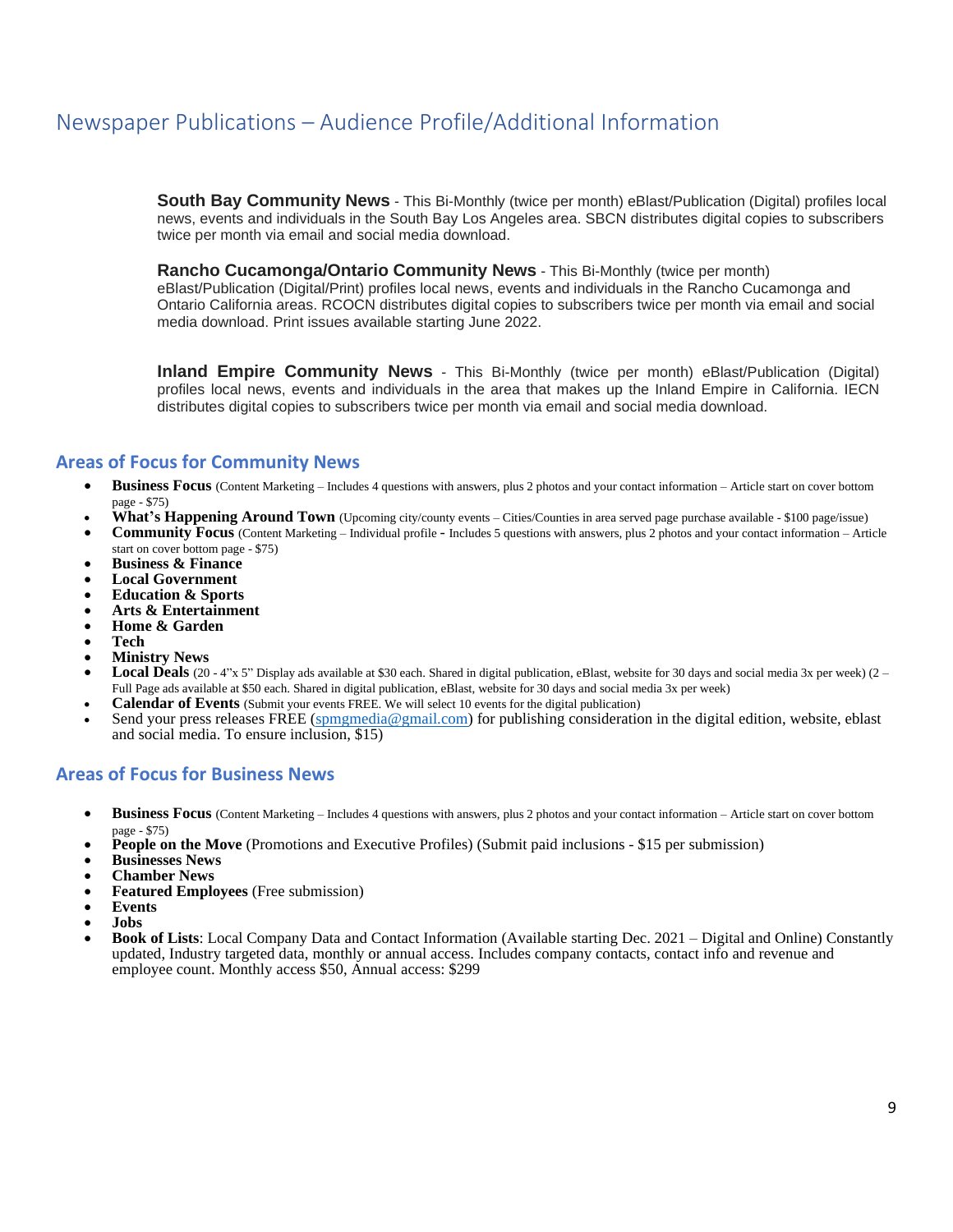## Newspaper Publications – Audience Profile/Additional Information

**South Bay Community News** - This Bi-Monthly (twice per month) eBlast/Publication (Digital) profiles local news, events and individuals in the South Bay Los Angeles area. SBCN distributes digital copies to subscribers twice per month via email and social media download.

#### **Rancho Cucamonga/Ontario Community News** - This Bi-Monthly (twice per month)

eBlast/Publication (Digital/Print) profiles local news, events and individuals in the Rancho Cucamonga and Ontario California areas. RCOCN distributes digital copies to subscribers twice per month via email and social media download. Print issues available starting June 2022.

**Inland Empire Community News** - This Bi-Monthly (twice per month) eBlast/Publication (Digital) profiles local news, events and individuals in the area that makes up the Inland Empire in California. IECN distributes digital copies to subscribers twice per month via email and social media download.

### **Areas of Focus for Community News**

- **Business Focus** (Content Marketing Includes 4 questions with answers, plus 2 photos and your contact information Article start on cover bottom page - \$75)
- **What's Happening Around Town** (Upcoming city/county events Cities/Counties in area served page purchase available \$100 page/issue)
- **Community Focus** (Content Marketing Individual profile Includes 5 questions with answers, plus 2 photos and your contact information Article start on cover bottom page - \$75)
- **Business & Finance**
- **Local Government**
- **Education & Sports**
- **Arts & Entertainment**
- **Home & Garden**
- **Tech**
- **Ministry News**
- **Local Deals** (20 4"x 5" Display ads available at \$30 each. Shared in digital publication, eBlast, website for 30 days and social media 3x per week) (2 Full Page ads available at \$50 each. Shared in digital publication, eBlast, website for 30 days and social media 3x per week)
- **Calendar of Events** (Submit your events FREE. We will select 10 events for the digital publication)
- Send your press releases FREE [\(spmgmedia@gmail.com\)](mailto:spmgmedia@gmail.com) for publishing consideration in the digital edition, website, eblast and social media. To ensure inclusion, \$15)

#### **Areas of Focus for Business News**

- **Business Focus** (Content Marketing Includes 4 questions with answers, plus 2 photos and your contact information Article start on cover bottom page - \$75)
- **People on the Move** (Promotions and Executive Profiles) (Submit paid inclusions \$15 per submission)
- **Businesses News**
- **Chamber News**
- **Featured Employees** (Free submission)
- **Events**
- **Jobs**
- **Book of Lists**: Local Company Data and Contact Information (Available starting Dec. 2021 Digital and Online) Constantly updated, Industry targeted data, monthly or annual access. Includes company contacts, contact info and revenue and employee count. Monthly access \$50, Annual access: \$299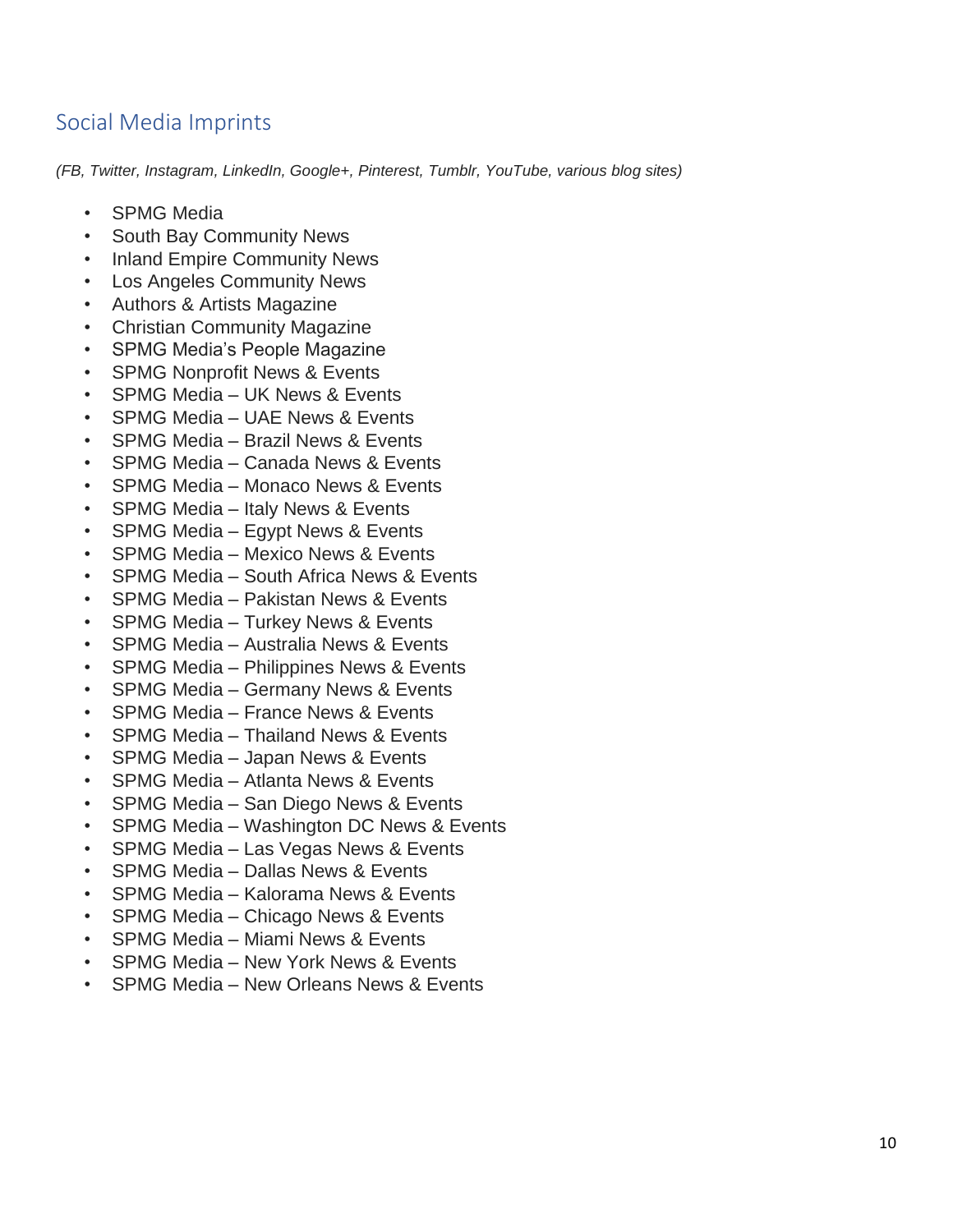## Social Media Imprints

*(FB, Twitter, Instagram, LinkedIn, Google+, Pinterest, Tumblr, YouTube, various blog sites)*

- **SPMG Media**
- South Bay Community News
- Inland Empire Community News
- Los Angeles Community News
- Authors & Artists Magazine
- Christian Community Magazine
- SPMG Media's People Magazine
- SPMG Nonprofit News & Events
- SPMG Media UK News & Events
- SPMG Media UAE News & Events
- SPMG Media Brazil News & Events
- SPMG Media Canada News & Events
- SPMG Media Monaco News & Events
- SPMG Media Italy News & Events
- SPMG Media Egypt News & Events
- SPMG Media Mexico News & Events
- SPMG Media South Africa News & Events
- SPMG Media Pakistan News & Events
- SPMG Media Turkey News & Events
- SPMG Media Australia News & Events
- SPMG Media Philippines News & Events
- SPMG Media Germany News & Events
- SPMG Media France News & Events
- SPMG Media Thailand News & Events
- SPMG Media Japan News & Events
- SPMG Media Atlanta News & Events
- SPMG Media San Diego News & Events
- SPMG Media Washington DC News & Events
- SPMG Media Las Vegas News & Events
- SPMG Media Dallas News & Events
- SPMG Media Kalorama News & Events
- SPMG Media Chicago News & Events
- SPMG Media Miami News & Events
- SPMG Media New York News & Events
- SPMG Media New Orleans News & Events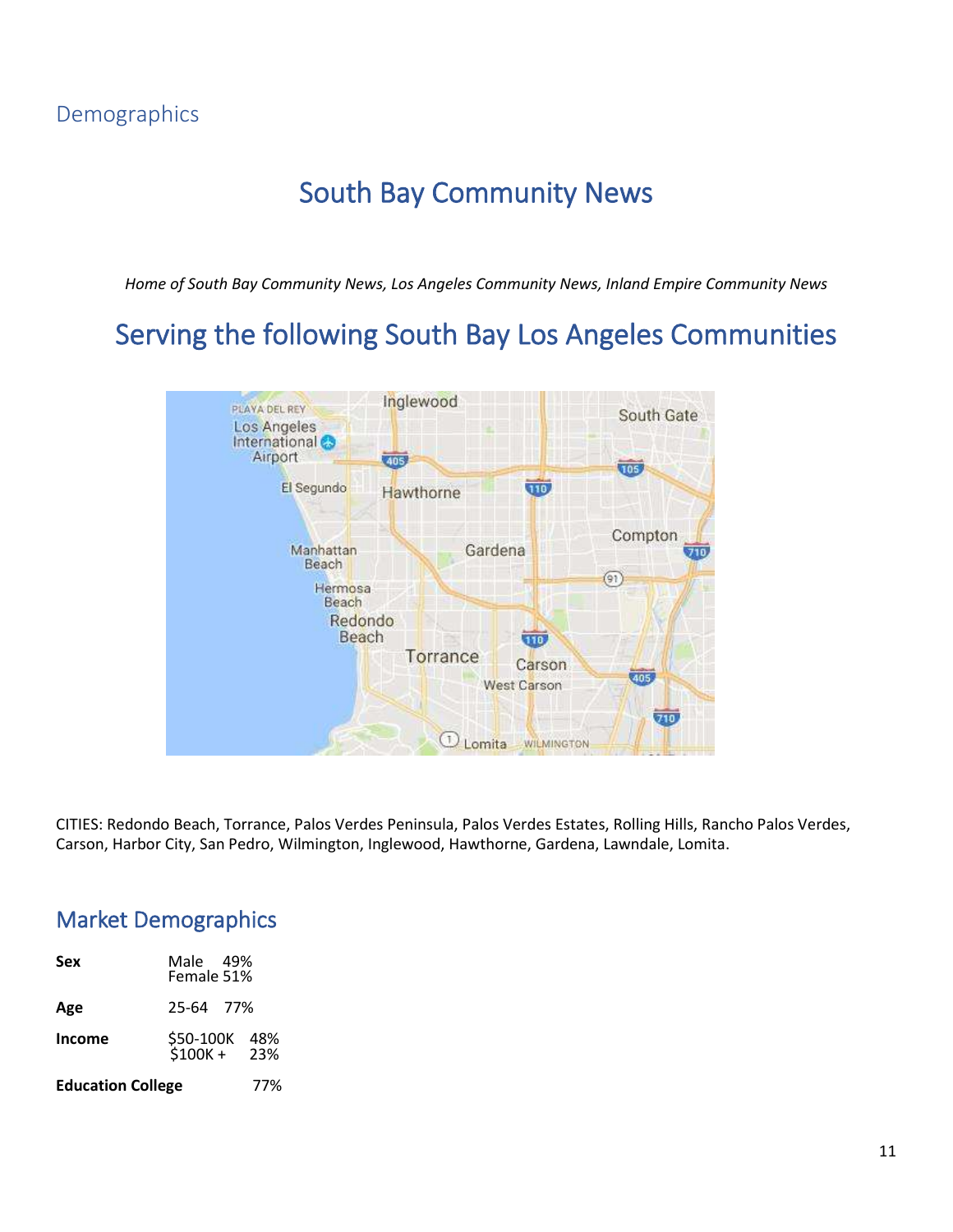## South Bay Community News

*Home of South Bay Community News, Los Angeles Community News, Inland Empire Community News*

## Serving the following South Bay Los Angeles Communities



CITIES: Redondo Beach, Torrance, Palos Verdes Peninsula, Palos Verdes Estates, Rolling Hills, Rancho Palos Verdes, Carson, Harbor City, San Pedro, Wilmington, Inglewood, Hawthorne, Gardena, Lawndale, Lomita.

## Market Demographics

| Sex                      | Male 49%<br>Female 51%       |     |
|--------------------------|------------------------------|-----|
| Age                      | 25-64 77%                    |     |
| Income                   | \$50-100K 48%<br>\$100K+ 23% |     |
| <b>Education College</b> |                              | 77% |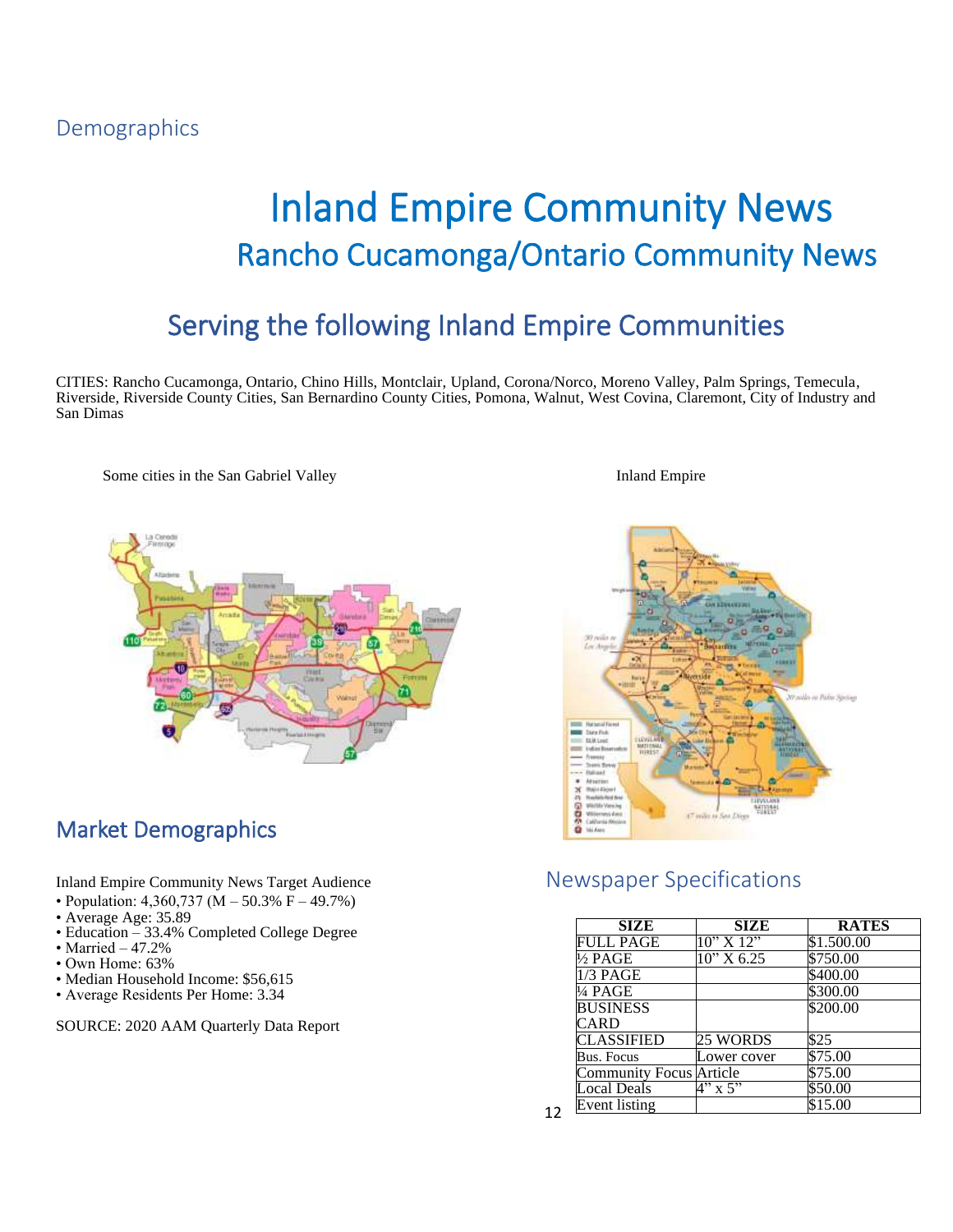## Demographics

# Inland Empire Community News Rancho Cucamonga/Ontario Community News

## Serving the following Inland Empire Communities

CITIES: Rancho Cucamonga, Ontario, Chino Hills, Montclair, Upland, Corona/Norco, Moreno Valley, Palm Springs, Temecula, Riverside, Riverside County Cities, San Bernardino County Cities, Pomona, Walnut, West Covina, Claremont, City of Industry and San Dimas

Some cities in the San Gabriel Valley **Inland Empire** Inland Empire



## Market Demographics

- Population: 4,360,737 (M 50.3% F 49.7%)
- Average Age: 35.89
- Education 33.4% Completed College Degree
- $\bullet$  Married  $-47.2\%$
- Own Home: 63%
- Median Household Income: \$56,615
- Average Residents Per Home: 3.34

SOURCE: 2020 AAM Quarterly Data Report



### Inland Empire Community News Target Audience Newspaper Specifications

12

| <b>SIZE</b>                    | SIZE          | <b>RATES</b> |
|--------------------------------|---------------|--------------|
| FULL PAGE                      | 10" X 12"     | \$1.500.00   |
| ½ PAGE                         | $10''$ X 6.25 | \$750.00     |
| $1/3$ PAGE                     |               | \$400.00     |
| ¼ PAGE                         |               | \$300.00     |
| <b>BUSINESS</b>                |               | \$200.00     |
| CARD                           |               |              |
| <b>CLASSIFIED</b>              | 25 WORDS      | \$25         |
| Bus. Focus                     | Lower cover   | \$75.00      |
| <b>Community Focus Article</b> |               | \$75.00      |
| ocal Deals                     | $4"$ x 5"     | \$50.00      |
| Event listing                  |               | \$15.00      |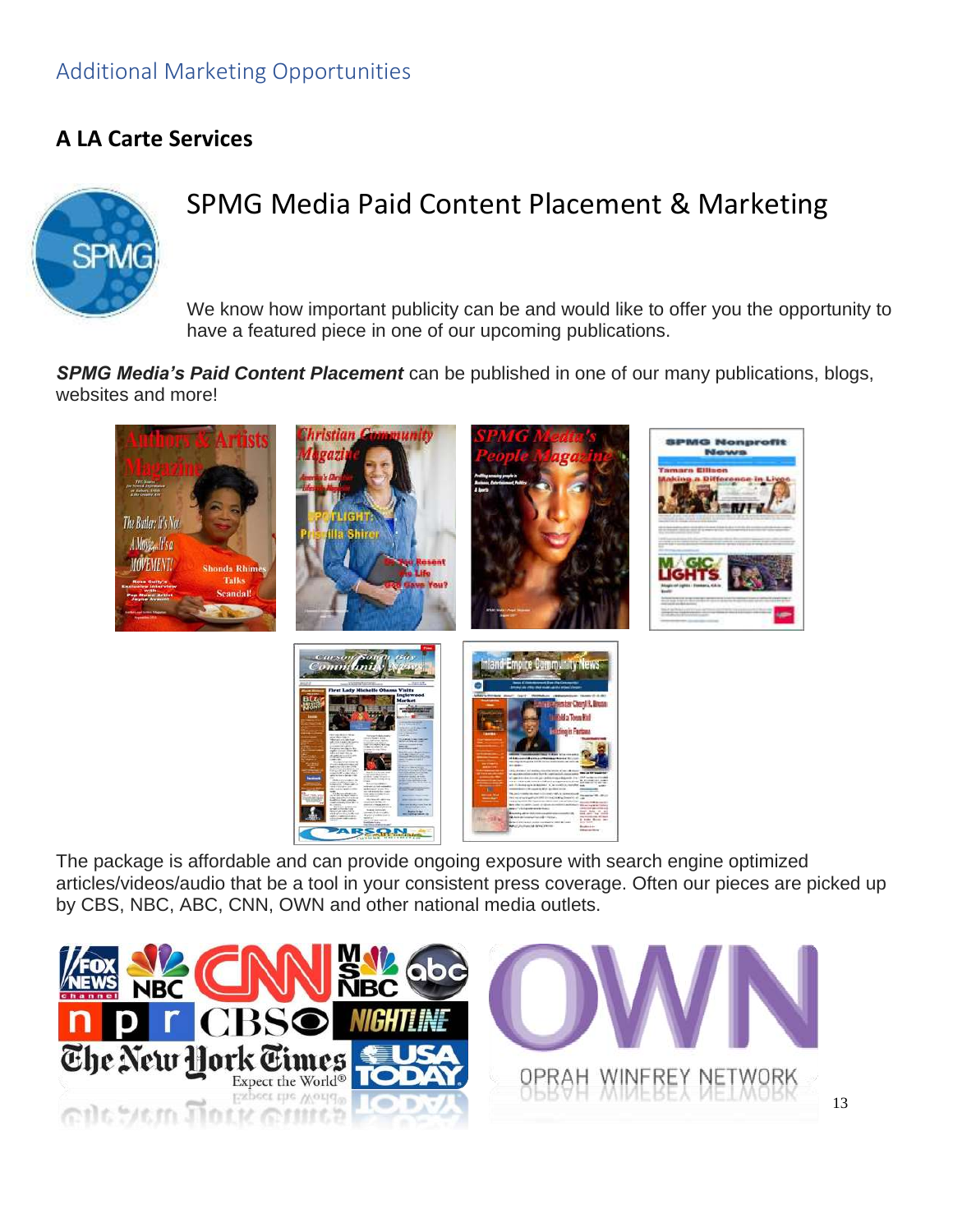## Additional Marketing Opportunities

### **A LA Carte Services**



## SPMG Media Paid Content Placement & Marketing

We know how important publicity can be and would like to offer you the opportunity to have a featured piece in one of our upcoming publications.

*SPMG Media's Paid Content Placement* can be published in one of our many publications, blogs, websites and more!



The package is affordable and can provide ongoing exposure with search engine optimized articles/videos/audio that be a tool in your consistent press coverage. Often our pieces are picked up by CBS, NBC, ABC, CNN, OWN and other national media outlets.

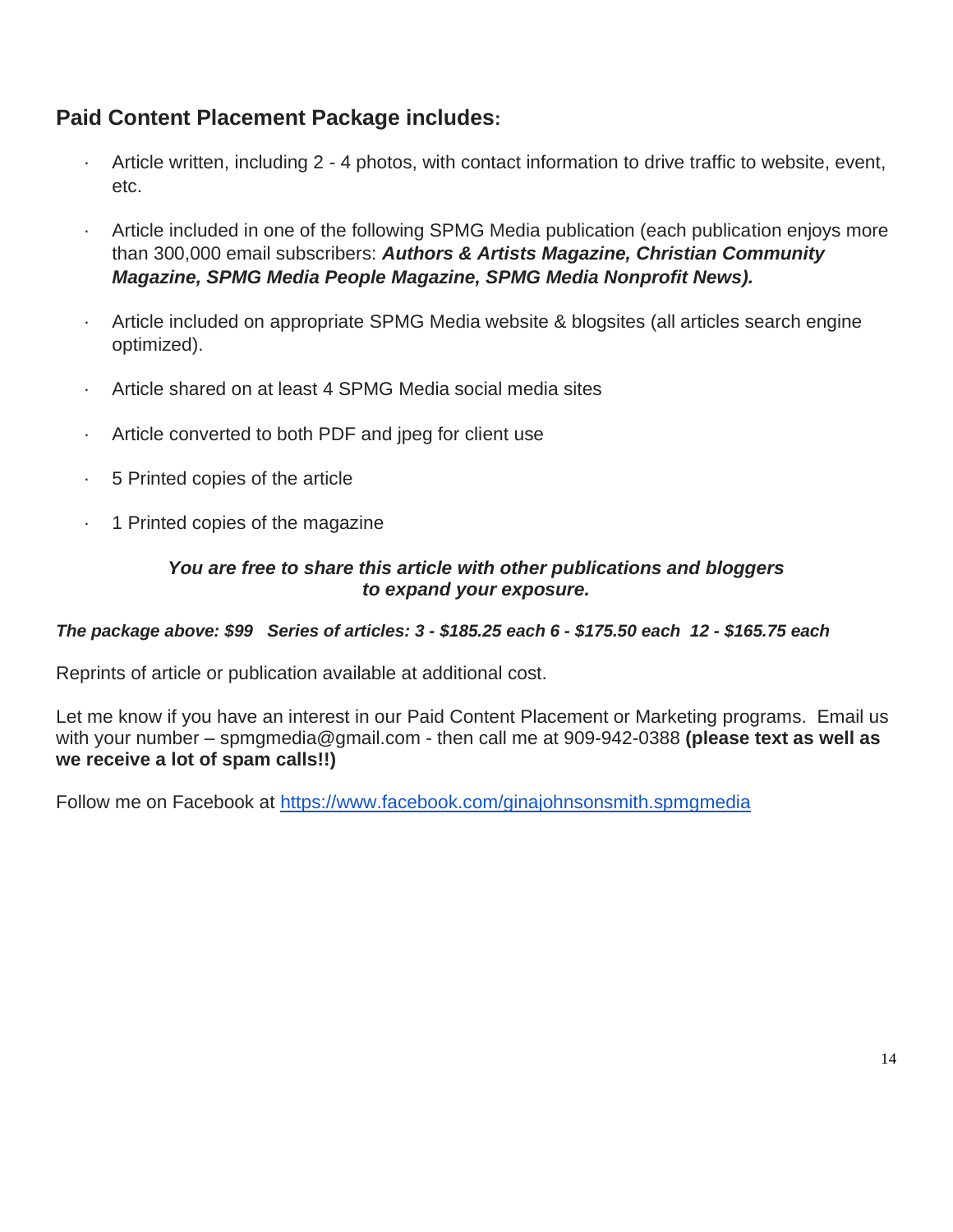## **Paid Content Placement Package includes:**

- Article written, including 2 4 photos, with contact information to drive traffic to website, event, etc.
- Article included in one of the following SPMG Media publication (each publication enjoys more than 300,000 email subscribers: *Authors & Artists Magazine, Christian Community Magazine, SPMG Media People Magazine, SPMG Media Nonprofit News).*
- · Article included on appropriate SPMG Media website & blogsites (all articles search engine optimized).
- Article shared on at least 4 SPMG Media social media sites
- Article converted to both PDF and jpeg for client use
- · 5 Printed copies of the article
- · 1 Printed copies of the magazine

### *You are free to share this article with other publications and bloggers to expand your exposure.*

### *The package above: \$99 Series of articles: 3 - \$185.25 each 6 - \$175.50 each 12 - \$165.75 each*

Reprints of article or publication available at additional cost.

Let me know if you have an interest in our Paid Content Placement or Marketing programs. Email us with your number – spmgmedia@gmail.com - then call me at 909-942-0388 **(please text as well as we receive a lot of spam calls!!)**

Follow me on Facebook at <https://www.facebook.com/ginajohnsonsmith.spmgmedia>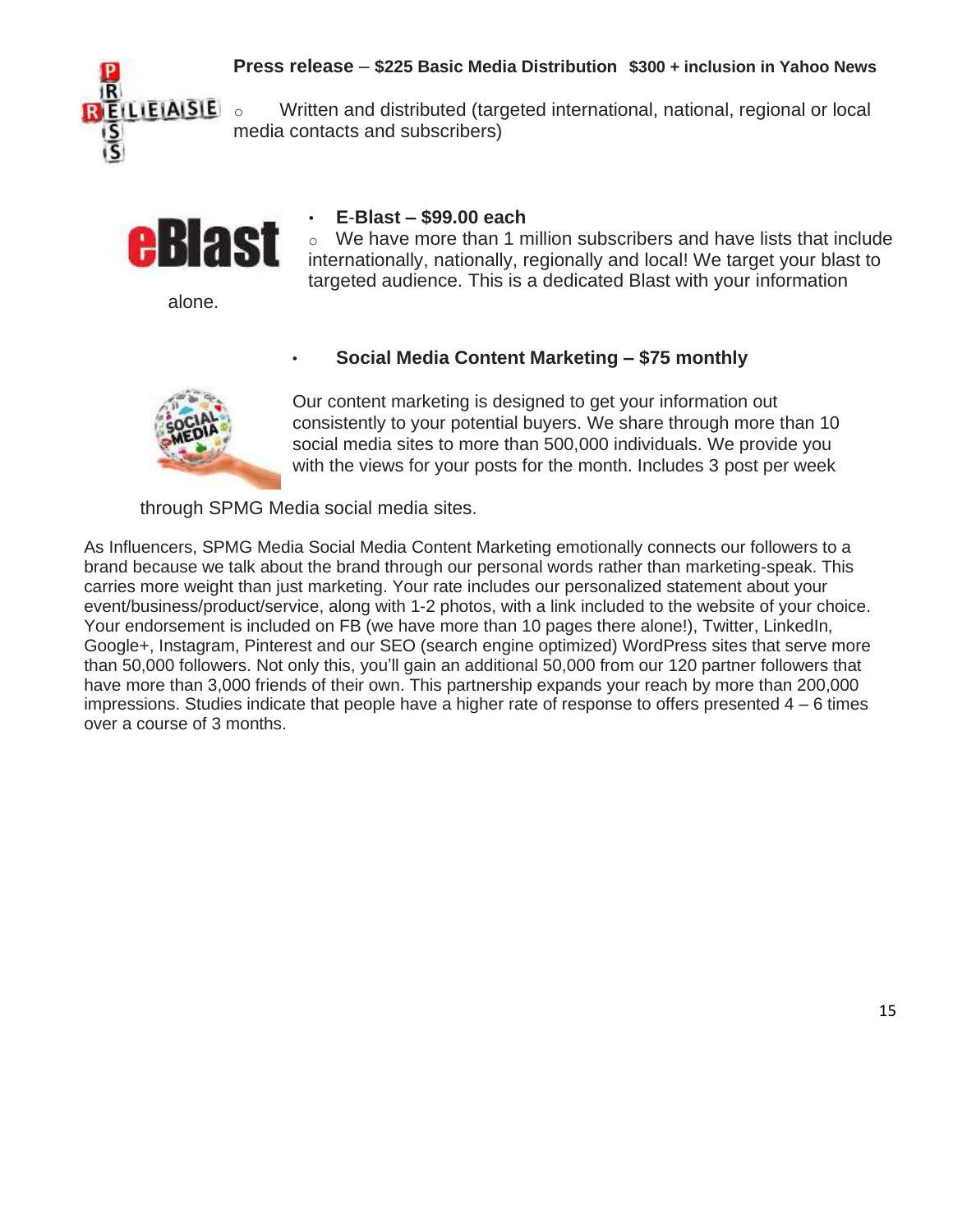

**Press release** – **\$225 Basic Media Distribution \$300 + inclusion in Yahoo News**

**ILIEIAISIE**  $\circ$  Written and distributed (targeted international, national, regional or local media contacts and subscribers)



alone.

### • **E**-**Blast – \$99.00 each**

o We have more than 1 million subscribers and have lists that include internationally, nationally, regionally and local! We target your blast to targeted audience. This is a dedicated Blast with your information

### • **Social Media Content Marketing – \$75 monthly**



Our content marketing is designed to get your information out consistently to your potential buyers. We share through more than 10 social media sites to more than 500,000 individuals. We provide you with the views for your posts for the month. Includes 3 post per week

through SPMG Media social media sites.

As Influencers, SPMG Media Social Media Content Marketing emotionally connects our followers to a brand because we talk about the brand through our personal words rather than marketing-speak. This carries more weight than just marketing. Your rate includes our personalized statement about your event/business/product/service, along with 1-2 photos, with a link included to the website of your choice. Your endorsement is included on FB (we have more than 10 pages there alone!), Twitter, LinkedIn, Google+, Instagram, Pinterest and our SEO (search engine optimized) WordPress sites that serve more than 50,000 followers. Not only this, you'll gain an additional 50,000 from our 120 partner followers that have more than 3,000 friends of their own. This partnership expands your reach by more than 200,000 impressions. Studies indicate that people have a higher rate of response to offers presented  $4 - 6$  times over a course of 3 months.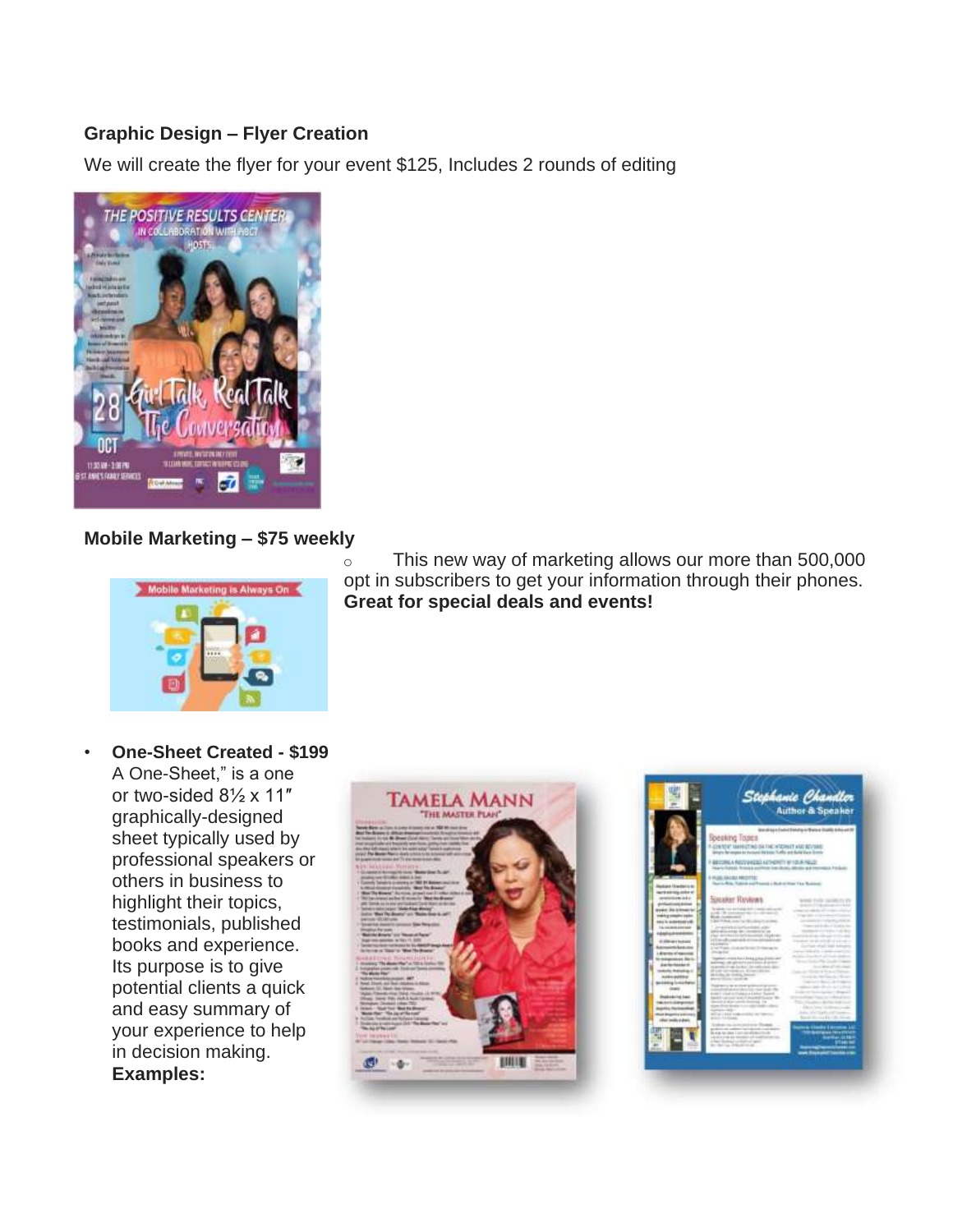### **Graphic Design – Flyer Creation**

We will create the flyer for your event \$125, Includes 2 rounds of editing



### **Mobile Marketing – \$75 weekly**



o This new way of marketing allows our more than 500,000 opt in subscribers to get your information through their phones. **Great for special deals and events!**

• **One-Sheet Created - \$199** A One-Sheet," is a one or two-sided 8½ x 11″ graphically-designed sheet typically used by professional speakers or others in business to highlight their topics, testimonials, published books and experience. Its purpose is to give potential clients a quick and easy summary of your experience to help in decision making. **Examples:**